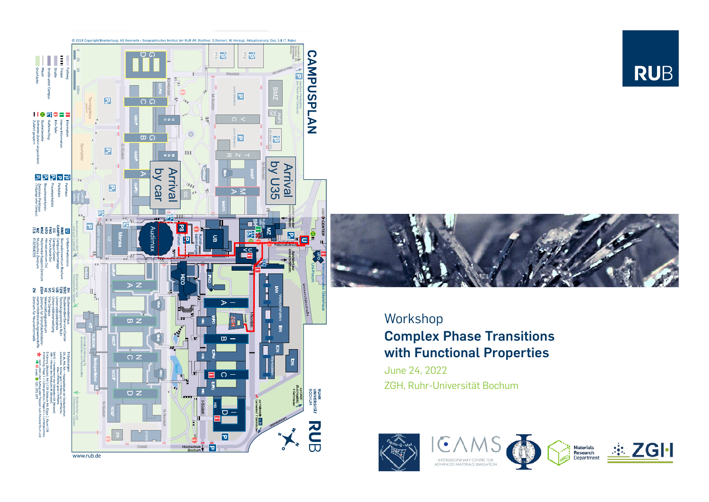



## Workshop **Complex Phase Transitions with Functional Properties**

June 24, 2022 ZGH, Ruhr-Universität Bochum